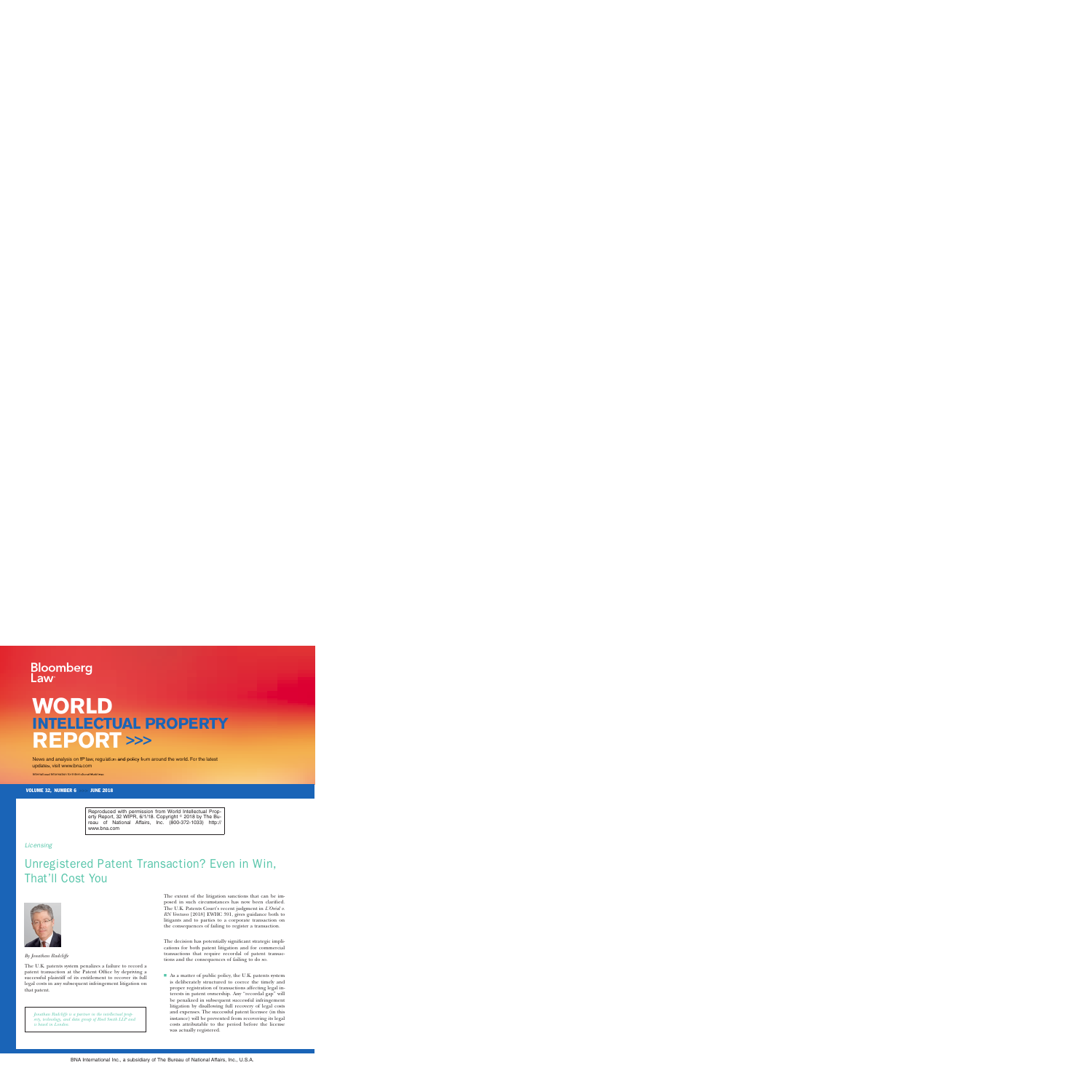# Bloomberg

## **WORLD INTELLECTUAL PROPERTY REPORT >>>**

News and analysis on IP law, regulation and policy from around the world. For the latest updates, visit www.bna.com

International Information for International Business

VOLUME 32, NUMBER 6 >>> JUNE 2018

Reproduced with permission from World Intellectual Property Report, 32 WIPR, 6/1/18. Copyright  $\textdegree$  2018 by The Bureau of National Affairs, Inc. (800-372-1033) http:// www.bna.com

#### *Licensing*

### Unregistered Patent Transaction? Even in Win, That'll Cost You



*By Jonathan Radcliffe*

The U.K. patents system penalizes a failure to record a patent transaction at the Patent Office by depriving a successful plaintiff of its entitlement to recover its full legal costs in any subsequent infringement litigation on that patent.

*Jonathan Radcliffe is a partner in the intellectual property, technology, and data group of Reed Smith LLP and is based in London.*

The extent of the litigation sanctions that can be imposed in such circumstances has now been clarified. The U.K. Patents Court's recent judgment in *L'Oréal v*. *RN Ventures* [2018] EWHC 391, gives guidance both to litigants and to parties to a corporate transaction on the consequences of failing to register a transaction.

The decision has potentially significant strategic implications for both patent litigation and for commercial transactions that require recordal of patent transactions and the consequences of failing to do so.

 $\blacksquare$  As a matter of public policy, the U.K. patents system is deliberately structured to coerce the timely and proper registration of transactions affecting legal interests in patent ownership. Any ''recordal gap'' will be penalized in subsequent successful infringement litigation by disallowing full recovery of legal costs and expenses. The successful patent licensee (in this instance) will be prevented from recovering its legal costs attributable to the period before the license was actually registered.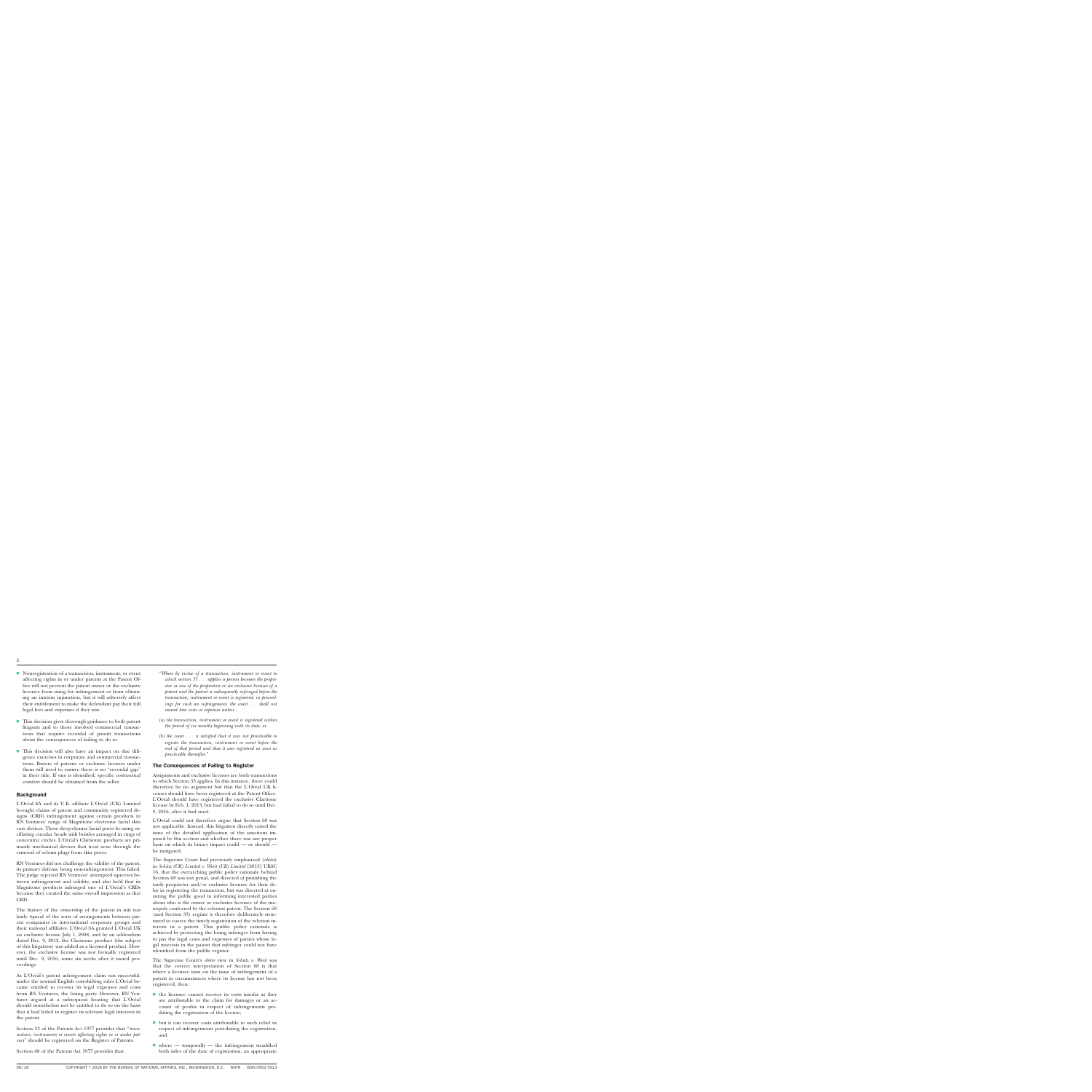- $\blacksquare$  Nonregistration of a transaction, instrument, or event affecting rights in or under patents at the Patent Office will not prevent the patent owner or the exclusive licensee from suing for infringement or from obtaining an interim injunction, but it will adversely affect their entitlement to make the defendant pay their full legal fees and expenses if they win.
- This decision gives thorough guidance to both patent litigants and to those involved commercial transactions that require recordal of patent transactions about the consequences of failing to do so.
- s This decision will also have an impact on due diligence exercises in corporate and commercial transactions. Buyers of patents or exclusive licenses under them will need to ensure there is no "recordal gap" in their title. If one is identified, specific contractual comfort should be obtained from the seller.

#### **Background**

L'Oréal SA and its U.K. affiliate L'Oréal (UK) Limited brought claims of patent and community registered designs (CRD) infringement against certain products in RN Ventures' range of Magnitone electronic facial skin care devices. These deep-cleanse facial pores by using oscillating circular heads with bristles arranged in rings of concentric circles. L'Oréal's Clarisonic products are primarily mechanical devices that treat acne through the removal of sebum plugs from skin pores.

RN Ventures did not challenge the validity of the patent, its primary defense being non-infringement. This failed. The judge rejected RN Ventures' attempted squeezes between infringement and validity, and also held that its Magnitone products infringed one of L'Oréal's CRDs because they created the same overall impression as that CRD.

The history of the ownership of the patent in suit was fairly typical of the sorts of arrangements between parent companies in international corporate groups and their national affiliates. L'Oréal SA granted L'Oréal UK an exclusive license July 1, 2008, and by an addendum dated Dec. 9, 2012, the Clarisonic product (the subject of this litigation) was added as a licensed product. However, the exclusive license was not formally registered until Dec. 9, 2016, some six weeks after it issued proceedings.

As L'Oréal's patent infringement claim was successful, under the normal English cost-shifting rules L'Oréal became entitled to recover its legal expenses and costs from RN Ventures, the losing party. However, RN Ventures argued at a subsequent hearing that L'Oréal should nonetheless not be entitled to do so on the basis that it had failed to register its relevant legal interests in the patent.

Section 33 of the Patents Act 1977 provides that ''*transactions, instruments or events affecting rights in or under patents*'' should be registered on the Register of Patents.

Section 68 of the Patents Act 1977 provides that:

- ''*Where by virtue of a transaction, instrument or event to which section 33 . . . applies a person becomes the proprietor or one of the proprietors or an exclusive licensee of a patent and the patent is subsequently infringed before the transaction, instrument or event is registered, in proceedings for such an infringement, the court . . . shall not award him costs or expenses unless -*
- *(a) the transaction, instrument or event is registered within the period of six months beginning with its date; or*
- *(b) the court . . . is satisfied that it was not practicable to register the transaction, instrument or event before the end of that period and that it was registered as soon as practicable thereafter*.''

#### The Consequences of Failing to Register

Assignments and exclusive licenses are both transactions to which Section 33 applies. In this instance, there could therefore be no argument but that the L'Oréal UK licenses should have been registered at the Patent Office. L'Oréal should have registered the exclusive Claritone license by Feb. 1, 2013, but had failed to do so until Dec. 9, 2016, after it had sued.

L'Oréal could not therefore argue that Section 68 was not applicable. Instead, this litigation directly raised the issue of the detailed application of the sanctions imposed by this section and whether there was any proper basis on which its binary impact could — or should be mitigated.

The Supreme Court had previously emphasized (*obiter*) in *Schütz (UK) Limited v. Werit (UK) Limited* [2013] UKSC 16, that the overarching public policy rationale behind Section 68 was not penal, and directed at punishing the tardy proprietor and/or exclusive licensee for their delay in registering the transaction, but was directed at ensuring the public good in informing interested parties about who is the owner or exclusive licensee of the monopoly conferred by the relevant patent. The Section 68 (and Section 33) regime is therefore deliberately structured to coerce the timely registration of the relevant interests in a patent. This public policy rationale is achieved by protecting the losing infringer from having to pay the legal costs and expenses of parties whose legal interests in the patent that infringer could not have identified from the public register.

The Supreme Court's *obiter* view in *Schütz v. Werit* was that the correct interpretation of Section 68 is that where a licensee wins on the issue of infringement of a patent in circumstances where its license has not been registered, then:

- $\blacksquare$  the licensee cannot recover its costs insofar as they are attributable to the claim for damages or an account of profits in respect of infringements predating the registration of the license;
- $\blacksquare$  but it can recover costs attributable to such relief in respect of infringements post-dating the registration; and
- $\blacksquare$  where temporally the infringement straddled both sides of the date of registration, an appropriate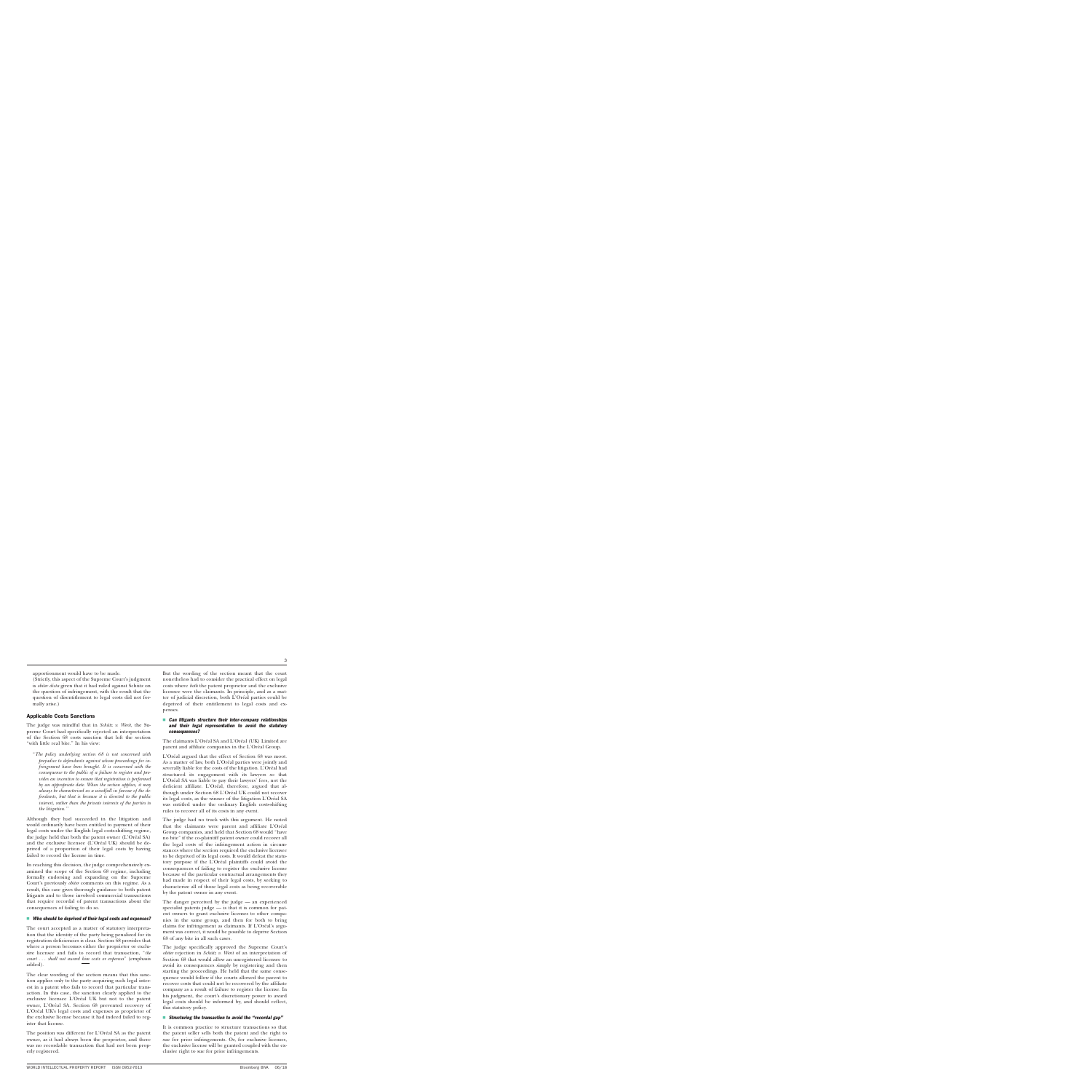apportionment would have to be made.

(Strictly, this aspect of the Supreme Court's judgment is *obiter dicta* given that it had ruled against Schütz on the question of infringement, with the result that the question of disentitlement to legal costs did not formally arise.)

#### Applicable Costs Sanctions

The judge was mindful that in *Schütz v. Werit*, the Supreme Court had specifically rejected an interpretation of the Section 68 costs sanction that left the section "with little real bite." In his view:

''*The policy underlying section 68 is not concerned with prejudice to defendants against whom proceedings for infringement have been brought. It is concerned with the consequence to the public of a failure to register and provides an incentive to ensure that registration is performed by an appropriate date. When the section applies, it may always be characterised as a windfall in favour of the defendants, but that is because it is directed to the public interest, rather than the private interests of the parties to the litigation.''*

Although they had succeeded in the litigation and would ordinarily have been entitled to payment of their legal costs under the English legal costs-shifting regime, the judge held that both the patent owner (L'Oréal SA) and the exclusive licensee (L'Oréal UK) should be deprived of a proportion of their legal costs by having failed to record the license in time.

In reaching this decision, the judge comprehensively examined the scope of the Section 68 regime, including formally endorsing and expanding on the Supreme Court's previously *obiter* comments on this regime. As a result, this case gives thorough guidance to both patent litigants and to those involved commercial transactions that require recordal of patent transactions about the consequences of failing to do so.

#### $\blacksquare$  Who should be deprived of their legal costs and expenses?

The court accepted as a matter of statutory interpretation that the identity of the party being penalized for its registration deficiencies is clear. Section 68 provides that where a person becomes either the proprietor or exclusive licensee and fails to record that transaction, ''*the court . . . shall not award him costs or expenses*'' (emphasis added).

The clear wording of the section means that this sanction applies only to the party acquiring such legal interest in a patent who fails to record that particular transaction. In this case, the sanction clearly applied to the exclusive licensee L'Oréal UK but not to the patent owner, L'Oréal SA. Section 68 prevented recovery of L'Oréal UK's legal costs and expenses as proprietor of the exclusive license because it had indeed failed to register that license.

The position was different for L'Oréal SA as the patent owner, as it had always been the proprietor, and there was no recordable transaction that had not been properly registered.

But the wording of the section meant that the court nonetheless had to consider the practical effect on legal costs where *both* the patent proprietor and the exclusive licensee were the claimants. In principle, and as a matter of judicial discretion, both L'Oréal parties could be deprived of their entitlement to legal costs and expenses.

#### **Can litigants structure their inter-company relationships** and their legal representation to avoid the statutory consequences?

The claimants L'Oréal SA and L'Oréal (UK) Limited are parent and affiliate companies in the L'Oréal Group.

L'Oréal argued that the effect of Section 68 was moot. As a matter of law, both L'Oréal parties were jointly and severally liable for the costs of the litigation. L'Oréal had structured its engagement with its lawyers so that L'Oréal SA was liable to pay their lawyers' fees, not the deficient affiliate. L'Oréal, therefore, argued that although under Section 68 L'Oréal UK could not recover its legal costs, as the winner of the litigation L'Oréal SA was entitled under the ordinary English costs-shifting rules to recover all of its costs in any event.

The judge had no truck with this argument. He noted that the claimants were parent and affiliate L'Oréal Group companies, and held that Section 68 would ''have no bite'' if the co-plaintiff patent owner could recover all the legal costs of the infringement action in circumstances where the section required the exclusive licensee to be deprived of its legal costs. It would defeat the statutory purpose if the L'Oréal plaintiffs could avoid the consequences of failing to register the exclusive license because of the particular contractual arrangements they had made in respect of their legal costs, by seeking to characterize all of those legal costs as being recoverable by the patent owner in any event.

The danger perceived by the judge — an experienced specialist patents judge — is that it is common for patent owners to grant exclusive licenses to other companies in the same group, and then for both to bring claims for infringement as claimants. If L'Oréal's argument was correct, it would be possible to deprive Section 68 of any bite in all such cases.

The judge specifically approved the Supreme Court's *obiter* rejection in *Schütz v. Werit* of an interpretation of Section 68 that would allow an unregistered licensee to avoid its consequences simply by registering and then starting the proceedings. He held that the same consequence would follow if the courts allowed the parent to recover costs that could not be recovered by the affiliate company as a result of failure to register the license. In his judgment, the court's discretionary power to award legal costs should be informed by, and should reflect, this statutory policy.

#### Structuring the transaction to avoid the "recordal gap"

It is common practice to structure transactions so that the patent seller sells both the patent and the right to sue for prior infringements. Or, for exclusive licenses, the exclusive license will be granted coupled with the exclusive right to sue for prior infringements.